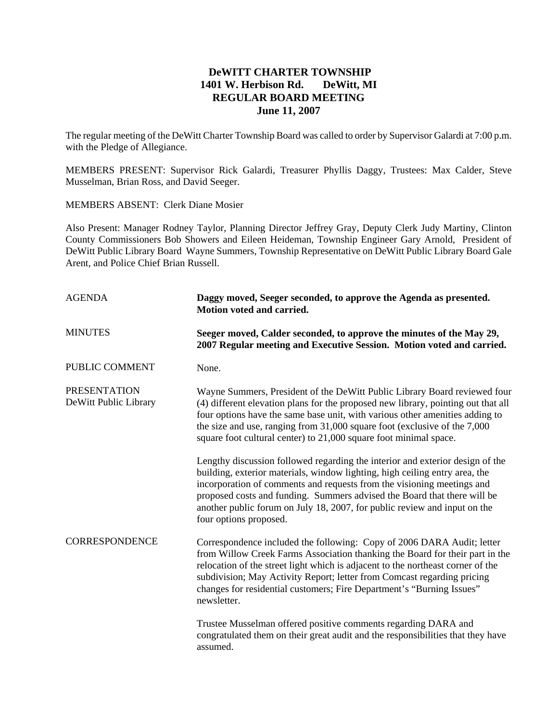## **DeWITT CHARTER TOWNSHIP 1401 W. Herbison Rd. DeWitt, MI REGULAR BOARD MEETING June 11, 2007**

The regular meeting of the DeWitt Charter Township Board was called to order by Supervisor Galardi at 7:00 p.m. with the Pledge of Allegiance.

MEMBERS PRESENT: Supervisor Rick Galardi, Treasurer Phyllis Daggy, Trustees: Max Calder, Steve Musselman, Brian Ross, and David Seeger.

MEMBERS ABSENT: Clerk Diane Mosier

Also Present: Manager Rodney Taylor, Planning Director Jeffrey Gray, Deputy Clerk Judy Martiny, Clinton County Commissioners Bob Showers and Eileen Heideman, Township Engineer Gary Arnold, President of DeWitt Public Library Board Wayne Summers, Township Representative on DeWitt Public Library Board Gale Arent, and Police Chief Brian Russell.

| <b>AGENDA</b>                                | Daggy moved, Seeger seconded, to approve the Agenda as presented.<br>Motion voted and carried.                                                                                                                                                                                                                                                                                                                            |  |  |
|----------------------------------------------|---------------------------------------------------------------------------------------------------------------------------------------------------------------------------------------------------------------------------------------------------------------------------------------------------------------------------------------------------------------------------------------------------------------------------|--|--|
| <b>MINUTES</b>                               | Seeger moved, Calder seconded, to approve the minutes of the May 29,<br>2007 Regular meeting and Executive Session. Motion voted and carried.                                                                                                                                                                                                                                                                             |  |  |
| PUBLIC COMMENT                               | None.                                                                                                                                                                                                                                                                                                                                                                                                                     |  |  |
| <b>PRESENTATION</b><br>DeWitt Public Library | Wayne Summers, President of the DeWitt Public Library Board reviewed four<br>(4) different elevation plans for the proposed new library, pointing out that all<br>four options have the same base unit, with various other amenities adding to<br>the size and use, ranging from 31,000 square foot (exclusive of the 7,000<br>square foot cultural center) to 21,000 square foot minimal space.                          |  |  |
|                                              | Lengthy discussion followed regarding the interior and exterior design of the<br>building, exterior materials, window lighting, high ceiling entry area, the<br>incorporation of comments and requests from the visioning meetings and<br>proposed costs and funding. Summers advised the Board that there will be<br>another public forum on July 18, 2007, for public review and input on the<br>four options proposed. |  |  |
| <b>CORRESPONDENCE</b>                        | Correspondence included the following: Copy of 2006 DARA Audit; letter<br>from Willow Creek Farms Association thanking the Board for their part in the<br>relocation of the street light which is adjacent to the northeast corner of the<br>subdivision; May Activity Report; letter from Comcast regarding pricing<br>changes for residential customers; Fire Department's "Burning Issues"<br>newsletter.              |  |  |
|                                              | Trustee Musselman offered positive comments regarding DARA and<br>congratulated them on their great audit and the responsibilities that they have<br>assumed.                                                                                                                                                                                                                                                             |  |  |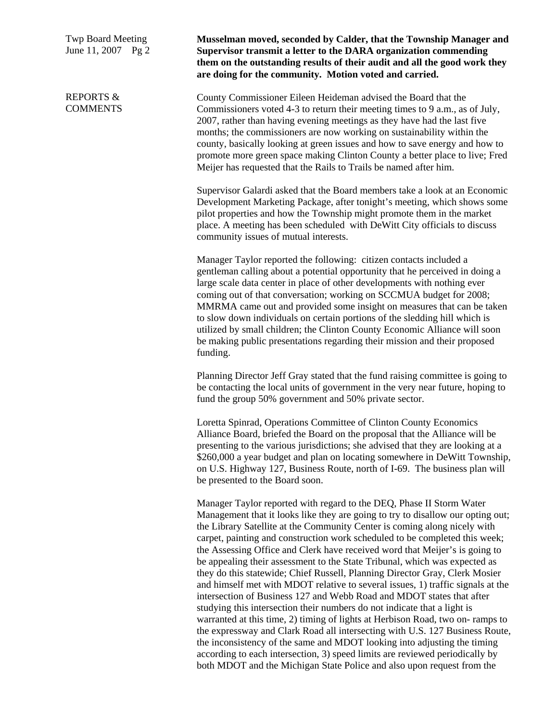Twp Board Meeting June 11, 2007 Pg 2

REPORTS & COMMENTS **Musselman moved, seconded by Calder, that the Township Manager and Supervisor transmit a letter to the DARA organization commending them on the outstanding results of their audit and all the good work they are doing for the community. Motion voted and carried.**

County Commissioner Eileen Heideman advised the Board that the Commissioners voted 4-3 to return their meeting times to 9 a.m., as of July, 2007, rather than having evening meetings as they have had the last five months; the commissioners are now working on sustainability within the county, basically looking at green issues and how to save energy and how to promote more green space making Clinton County a better place to live; Fred Meijer has requested that the Rails to Trails be named after him.

Supervisor Galardi asked that the Board members take a look at an Economic Development Marketing Package, after tonight's meeting, which shows some pilot properties and how the Township might promote them in the market place. A meeting has been scheduled with DeWitt City officials to discuss community issues of mutual interests.

Manager Taylor reported the following: citizen contacts included a gentleman calling about a potential opportunity that he perceived in doing a large scale data center in place of other developments with nothing ever coming out of that conversation; working on SCCMUA budget for 2008; MMRMA came out and provided some insight on measures that can be taken to slow down individuals on certain portions of the sledding hill which is utilized by small children; the Clinton County Economic Alliance will soon be making public presentations regarding their mission and their proposed funding.

Planning Director Jeff Gray stated that the fund raising committee is going to be contacting the local units of government in the very near future, hoping to fund the group 50% government and 50% private sector.

Loretta Spinrad, Operations Committee of Clinton County Economics Alliance Board, briefed the Board on the proposal that the Alliance will be presenting to the various jurisdictions; she advised that they are looking at a \$260,000 a year budget and plan on locating somewhere in DeWitt Township, on U.S. Highway 127, Business Route, north of I-69. The business plan will be presented to the Board soon.

Manager Taylor reported with regard to the DEQ, Phase II Storm Water Management that it looks like they are going to try to disallow our opting out; the Library Satellite at the Community Center is coming along nicely with carpet, painting and construction work scheduled to be completed this week; the Assessing Office and Clerk have received word that Meijer's is going to be appealing their assessment to the State Tribunal, which was expected as they do this statewide; Chief Russell, Planning Director Gray, Clerk Mosier and himself met with MDOT relative to several issues, 1) traffic signals at the intersection of Business 127 and Webb Road and MDOT states that after studying this intersection their numbers do not indicate that a light is warranted at this time, 2) timing of lights at Herbison Road, two on- ramps to the expressway and Clark Road all intersecting with U.S. 127 Business Route, the inconsistency of the same and MDOT looking into adjusting the timing according to each intersection, 3) speed limits are reviewed periodically by both MDOT and the Michigan State Police and also upon request from the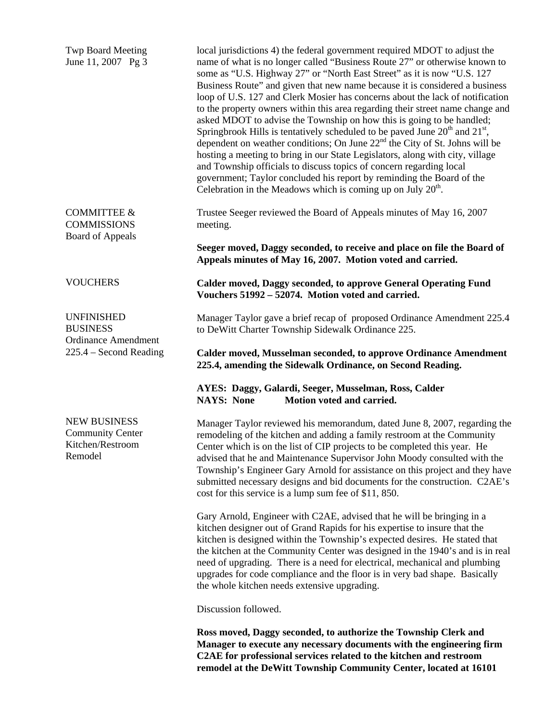Twp Board Meeting June 11, 2007 Pg 3

COMMITTEE & **COMMISSIONS** Board of Appeals

**VOUCHERS** 

UNFINISHED **BUSINESS** Ordinance Amendment 225.4 – Second Reading

NEW BUSINESS Community Center Kitchen/Restroom Remodel

local jurisdictions 4) the federal government required MDOT to adjust the name of what is no longer called "Business Route 27" or otherwise known to some as "U.S. Highway 27" or "North East Street" as it is now "U.S. 127 Business Route" and given that new name because it is considered a business loop of U.S. 127 and Clerk Mosier has concerns about the lack of notification to the property owners within this area regarding their street name change and asked MDOT to advise the Township on how this is going to be handled; Springbrook Hills is tentatively scheduled to be paved June  $20<sup>th</sup>$  and  $21<sup>st</sup>$ , dependent on weather conditions; On June  $22<sup>nd</sup>$  the City of St. Johns will be hosting a meeting to bring in our State Legislators, along with city, village and Township officials to discuss topics of concern regarding local government; Taylor concluded his report by reminding the Board of the Celebration in the Meadows which is coming up on July  $20<sup>th</sup>$ .

Trustee Seeger reviewed the Board of Appeals minutes of May 16, 2007 meeting.

**Seeger moved, Daggy seconded, to receive and place on file the Board of Appeals minutes of May 16, 2007. Motion voted and carried.** 

**Calder moved, Daggy seconded, to approve General Operating Fund Vouchers 51992 – 52074. Motion voted and carried.** 

Manager Taylor gave a brief recap of proposed Ordinance Amendment 225.4 to DeWitt Charter Township Sidewalk Ordinance 225.

**Calder moved, Musselman seconded, to approve Ordinance Amendment 225.4, amending the Sidewalk Ordinance, on Second Reading.** 

**AYES: Daggy, Galardi, Seeger, Musselman, Ross, Calder NAYS: None Motion voted and carried.** 

Manager Taylor reviewed his memorandum, dated June 8, 2007, regarding the remodeling of the kitchen and adding a family restroom at the Community Center which is on the list of CIP projects to be completed this year. He advised that he and Maintenance Supervisor John Moody consulted with the Township's Engineer Gary Arnold for assistance on this project and they have submitted necessary designs and bid documents for the construction. C2AE's cost for this service is a lump sum fee of \$11, 850.

Gary Arnold, Engineer with C2AE, advised that he will be bringing in a kitchen designer out of Grand Rapids for his expertise to insure that the kitchen is designed within the Township's expected desires. He stated that the kitchen at the Community Center was designed in the 1940's and is in real need of upgrading. There is a need for electrical, mechanical and plumbing upgrades for code compliance and the floor is in very bad shape. Basically the whole kitchen needs extensive upgrading.

Discussion followed.

**Ross moved, Daggy seconded, to authorize the Township Clerk and Manager to execute any necessary documents with the engineering firm C2AE for professional services related to the kitchen and restroom remodel at the DeWitt Township Community Center, located at 16101**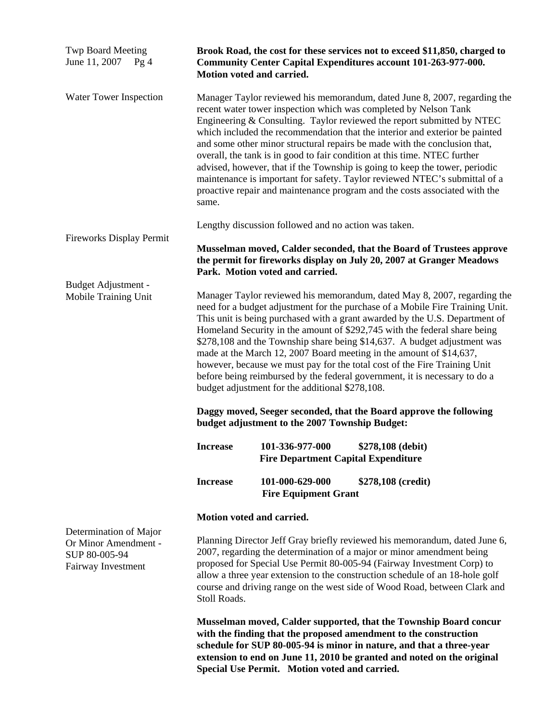| <b>Twp Board Meeting</b><br>June 11, 2007<br>Pg4                                      | Brook Road, the cost for these services not to exceed \$11,850, charged to<br>Community Center Capital Expenditures account 101-263-977-000.<br>Motion voted and carried.                                                                                                                                                                                                                                                                                                                                                                                                                                                                                                                                                                                    |                                                                                                                                                                                                                                                                                                                                                                                                                                                                                                                                                                                                                                                                                                             |                                                                                                                                                                                                                     |  |
|---------------------------------------------------------------------------------------|--------------------------------------------------------------------------------------------------------------------------------------------------------------------------------------------------------------------------------------------------------------------------------------------------------------------------------------------------------------------------------------------------------------------------------------------------------------------------------------------------------------------------------------------------------------------------------------------------------------------------------------------------------------------------------------------------------------------------------------------------------------|-------------------------------------------------------------------------------------------------------------------------------------------------------------------------------------------------------------------------------------------------------------------------------------------------------------------------------------------------------------------------------------------------------------------------------------------------------------------------------------------------------------------------------------------------------------------------------------------------------------------------------------------------------------------------------------------------------------|---------------------------------------------------------------------------------------------------------------------------------------------------------------------------------------------------------------------|--|
| Water Tower Inspection                                                                | same.                                                                                                                                                                                                                                                                                                                                                                                                                                                                                                                                                                                                                                                                                                                                                        | Manager Taylor reviewed his memorandum, dated June 8, 2007, regarding the<br>recent water tower inspection which was completed by Nelson Tank<br>Engineering & Consulting. Taylor reviewed the report submitted by NTEC<br>which included the recommendation that the interior and exterior be painted<br>and some other minor structural repairs be made with the conclusion that,<br>overall, the tank is in good to fair condition at this time. NTEC further<br>advised, however, that if the Township is going to keep the tower, periodic<br>maintenance is important for safety. Taylor reviewed NTEC's submittal of a<br>proactive repair and maintenance program and the costs associated with the |                                                                                                                                                                                                                     |  |
| <b>Fireworks Display Permit</b>                                                       | Lengthy discussion followed and no action was taken.                                                                                                                                                                                                                                                                                                                                                                                                                                                                                                                                                                                                                                                                                                         |                                                                                                                                                                                                                                                                                                                                                                                                                                                                                                                                                                                                                                                                                                             |                                                                                                                                                                                                                     |  |
|                                                                                       | Musselman moved, Calder seconded, that the Board of Trustees approve<br>the permit for fireworks display on July 20, 2007 at Granger Meadows<br>Park. Motion voted and carried.                                                                                                                                                                                                                                                                                                                                                                                                                                                                                                                                                                              |                                                                                                                                                                                                                                                                                                                                                                                                                                                                                                                                                                                                                                                                                                             |                                                                                                                                                                                                                     |  |
| Budget Adjustment -<br>Mobile Training Unit                                           | Manager Taylor reviewed his memorandum, dated May 8, 2007, regarding the<br>need for a budget adjustment for the purchase of a Mobile Fire Training Unit.<br>This unit is being purchased with a grant awarded by the U.S. Department of<br>Homeland Security in the amount of \$292,745 with the federal share being<br>\$278,108 and the Township share being \$14,637. A budget adjustment was<br>made at the March 12, 2007 Board meeting in the amount of \$14,637,<br>however, because we must pay for the total cost of the Fire Training Unit<br>before being reimbursed by the federal government, it is necessary to do a<br>budget adjustment for the additional \$278,108.<br>Daggy moved, Seeger seconded, that the Board approve the following |                                                                                                                                                                                                                                                                                                                                                                                                                                                                                                                                                                                                                                                                                                             |                                                                                                                                                                                                                     |  |
|                                                                                       | <b>Increase</b>                                                                                                                                                                                                                                                                                                                                                                                                                                                                                                                                                                                                                                                                                                                                              | budget adjustment to the 2007 Township Budget:<br>101-336-977-000                                                                                                                                                                                                                                                                                                                                                                                                                                                                                                                                                                                                                                           | \$278,108 (debit)                                                                                                                                                                                                   |  |
|                                                                                       |                                                                                                                                                                                                                                                                                                                                                                                                                                                                                                                                                                                                                                                                                                                                                              | <b>Fire Department Capital Expenditure</b>                                                                                                                                                                                                                                                                                                                                                                                                                                                                                                                                                                                                                                                                  |                                                                                                                                                                                                                     |  |
|                                                                                       | <b>Increase</b>                                                                                                                                                                                                                                                                                                                                                                                                                                                                                                                                                                                                                                                                                                                                              | 101-000-629-000<br><b>Fire Equipment Grant</b>                                                                                                                                                                                                                                                                                                                                                                                                                                                                                                                                                                                                                                                              | \$278,108 (credit)                                                                                                                                                                                                  |  |
|                                                                                       | Motion voted and carried.                                                                                                                                                                                                                                                                                                                                                                                                                                                                                                                                                                                                                                                                                                                                    |                                                                                                                                                                                                                                                                                                                                                                                                                                                                                                                                                                                                                                                                                                             |                                                                                                                                                                                                                     |  |
| Determination of Major<br>Or Minor Amendment -<br>SUP 80-005-94<br>Fairway Investment | Planning Director Jeff Gray briefly reviewed his memorandum, dated June 6,<br>2007, regarding the determination of a major or minor amendment being<br>proposed for Special Use Permit 80-005-94 (Fairway Investment Corp) to<br>allow a three year extension to the construction schedule of an 18-hole golf<br>course and driving range on the west side of Wood Road, between Clark and<br>Stoll Roads.                                                                                                                                                                                                                                                                                                                                                   |                                                                                                                                                                                                                                                                                                                                                                                                                                                                                                                                                                                                                                                                                                             |                                                                                                                                                                                                                     |  |
|                                                                                       |                                                                                                                                                                                                                                                                                                                                                                                                                                                                                                                                                                                                                                                                                                                                                              | with the finding that the proposed amendment to the construction<br>Special Use Permit. Motion voted and carried.                                                                                                                                                                                                                                                                                                                                                                                                                                                                                                                                                                                           | Musselman moved, Calder supported, that the Township Board concur<br>schedule for SUP 80-005-94 is minor in nature, and that a three-year<br>extension to end on June 11, 2010 be granted and noted on the original |  |